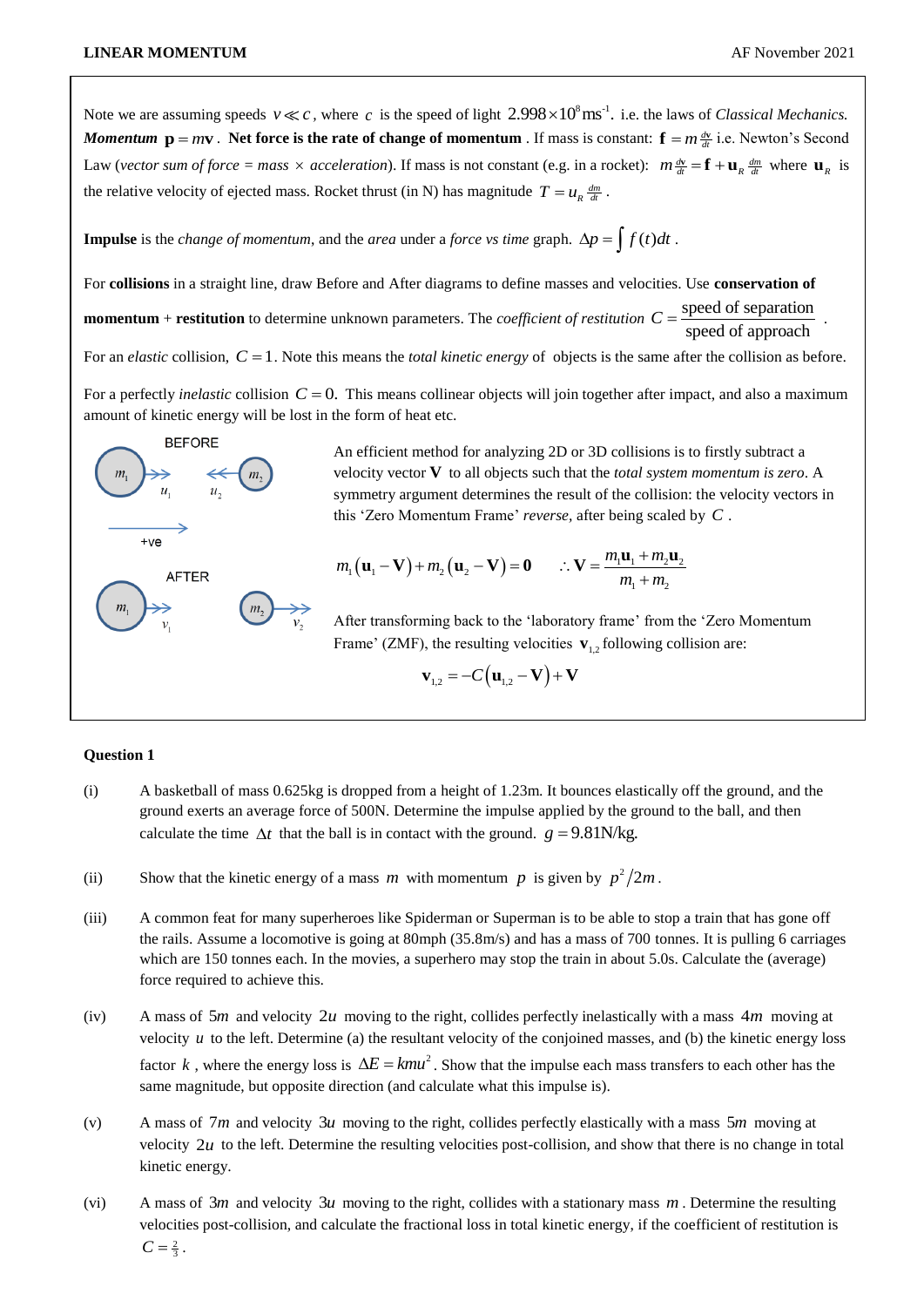Note we are assuming speeds  $v \ll c$ , where c is the speed of light  $2.998 \times 10^8 \text{ ms}^{-1}$ . i.e. the laws of *Classical Mechanics*. *Momentum*  $p = mv$ . Net force is the rate of change of momentum. If mass is constant:  $f = m \frac{dv}{dt}$  i.e. Newton's Second Law (*vector sum of force = mass*  $\times$  *acceleration*). If mass is not constant (e.g. in a rocket):  $m \frac{dv}{dt} = \mathbf{f} + \mathbf{u}_R \frac{dm}{dt}$  where  $\mathbf{u}_R$  is the relative velocity of ejected mass. Rocket thrust (in N) has magnitude  $T = u_R \frac{dm}{dt}$ .

**Impulse** is the *change of momentum*, and the *area* under a *force vs time* graph.  $\Delta p = \int f(t)dt$ .

For **collisions** in a straight line, draw Before and After diagrams to define masses and velocities. Use **conservation of momentum** + **restitution** to determine unknown parameters. The *coefficient of restitution*  $C = \frac{\text{speed of separation}}{\text{signal}}$ . speed of approach For an *elastic* collision,  $C = 1$ . Note this means the *total kinetic energy* of objects is the same after the collision as before.

For a perfectly *inelastic* collision  $C = 0$ . This means collinear objects will join together after impact, and also a maximum amount of kinetic energy will be lost in the form of heat etc.



An efficient method for analyzing 2D or 3D collisions is to firstly subtract a velocity vector **V** to all objects such that the *total system momentum is zero*. A symmetry argument determines the result of the collision: the velocity vectors in

this 'Zero Momentum Frame' *reverse*, after being scaled by C.  
\n
$$
m_1(\mathbf{u}_1 - \mathbf{V}) + m_2(\mathbf{u}_2 - \mathbf{V}) = \mathbf{0}
$$
  $\therefore \mathbf{V} = \frac{m_1 \mathbf{u}_1 + m_2 \mathbf{u}_2}{m_1 + m_2}$ 

After transforming back to the 'laboratory frame' from the 'Zero Momentum Frame' (ZMF), the resulting velocities  $\mathbf{v}_{1,2}$  following collision are:

$$
\mathbf{v}_{1,2} = -C(\mathbf{u}_{1,2} - \mathbf{V}) + \mathbf{V}
$$

## **Question 1**

- (i) A basketball of mass 0.625kg is dropped from a height of 1.23m. It bounces elastically off the ground, and the ground exerts an average force of 500N. Determine the impulse applied by the ground to the ball, and then calculate the time  $\Delta t$  that the ball is in contact with the ground.  $g = 9.81$ N/kg.
- (ii) Show that the kinetic energy of a mass m with momentum p is given by  $p^2/2m$ .
- (iii) A common feat for many superheroes like Spiderman or Superman is to be able to stop a train that has gone off the rails. Assume a locomotive is going at 80mph (35.8m/s) and has a mass of 700 tonnes. It is pulling 6 carriages which are 150 tonnes each. In the movies, a superhero may stop the train in about 5.0s. Calculate the (average) force required to achieve this.
- (iv) A mass of  $5m$  and velocity  $2u$  moving to the right, collides perfectly inelastically with a mass  $4m$  moving at velocity  $u$  to the left. Determine (a) the resultant velocity of the conjoined masses, and (b) the kinetic energy loss factor k, where the energy loss is  $\Delta E = kmu^2$ . Show that the impulse each mass transfers to each other has the same magnitude, but opposite direction (and calculate what this impulse is).
- (v) A mass of  $7m$  and velocity  $3u$  moving to the right, collides perfectly elastically with a mass  $5m$  moving at velocity  $2u$  to the left. Determine the resulting velocities post-collision, and show that there is no change in total kinetic energy.
- (vi) A mass of  $3m$  and velocity  $3u$  moving to the right, collides with a stationary mass  $m$ . Determine the resulting velocities post-collision, and calculate the fractional loss in total kinetic energy, if the coefficient of restitution is  $C = \frac{2}{3}$ .